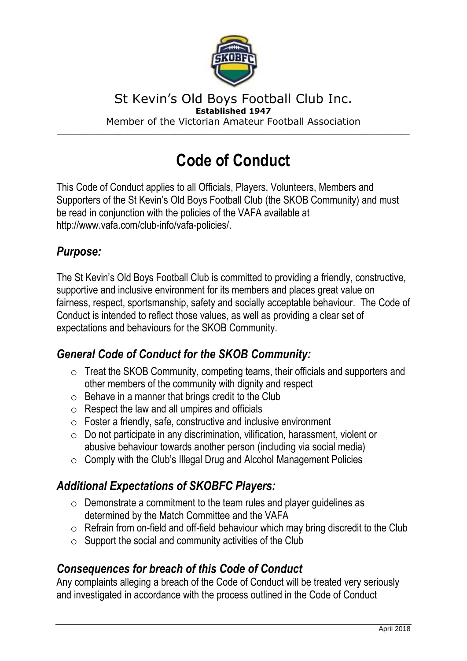

#### St Kevin's Old Boys Football Club Inc. **Established 1947** Member of the Victorian Amateur Football Association

\_\_\_\_\_\_\_\_\_\_\_\_\_\_\_\_\_\_\_\_\_\_\_\_\_\_\_\_\_\_\_\_\_\_\_\_\_\_\_\_\_\_\_\_\_\_\_\_\_\_\_\_\_\_\_\_\_\_\_\_\_\_\_\_\_\_\_\_\_\_\_\_\_\_\_\_\_\_\_\_\_\_\_\_\_\_\_\_\_\_

# **Code of Conduct**

This Code of Conduct applies to all Officials, Players, Volunteers, Members and Supporters of the St Kevin's Old Boys Football Club (the SKOB Community) and must be read in conjunction with the policies of the VAFA available at http://www.vafa.com/club-info/vafa-policies/.

#### *Purpose:*

The St Kevin's Old Boys Football Club is committed to providing a friendly, constructive, supportive and inclusive environment for its members and places great value on fairness, respect, sportsmanship, safety and socially acceptable behaviour. The Code of Conduct is intended to reflect those values, as well as providing a clear set of expectations and behaviours for the SKOB Community.

# *General Code of Conduct for the SKOB Community:*

- o Treat the SKOB Community, competing teams, their officials and supporters and other members of the community with dignity and respect
- $\circ$  Behave in a manner that brings credit to the Club
- $\circ$  Respect the law and all umpires and officials
- $\circ$  Foster a friendly, safe, constructive and inclusive environment
- o Do not participate in any discrimination, vilification, harassment, violent or abusive behaviour towards another person (including via social media)
- $\circ$  Comply with the Club's Illegal Drug and Alcohol Management Policies

# *Additional Expectations of SKOBFC Players:*

- $\circ$  Demonstrate a commitment to the team rules and player quidelines as determined by the Match Committee and the VAFA
- $\circ$  Refrain from on-field and off-field behaviour which may bring discredit to the Club
- $\circ$  Support the social and community activities of the Club

# *Consequences for breach of this Code of Conduct*

Any complaints alleging a breach of the Code of Conduct will be treated very seriously and investigated in accordance with the process outlined in the Code of Conduct